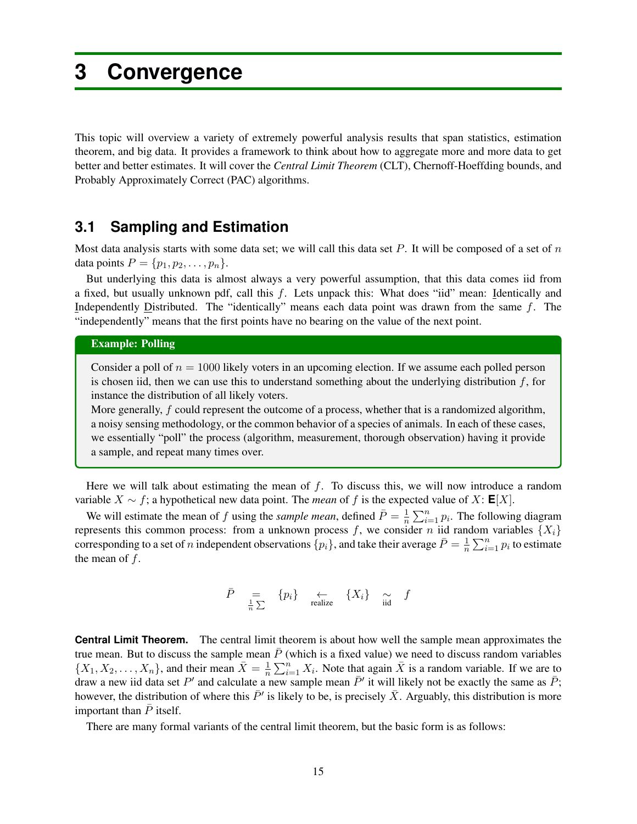# **3 Convergence**

This topic will overview a variety of extremely powerful analysis results that span statistics, estimation theorem, and big data. It provides a framework to think about how to aggregate more and more data to get better and better estimates. It will cover the *Central Limit Theorem* (CLT), Chernoff-Hoeffding bounds, and Probably Approximately Correct (PAC) algorithms.

### **3.1 Sampling and Estimation**

Most data analysis starts with some data set; we will call this data set *P*. It will be composed of a set of *n* data points  $P = \{p_1, p_2, \ldots, p_n\}.$ 

But underlying this data is almost always a very powerful assumption, that this data comes iid from a fixed, but usually unknown pdf, call this *f*. Lets unpack this: What does "iid" mean: Identically and Independently Distributed. The "identically" means each data point was drawn from the same *f*. The "independently" means that the first points have no bearing on the value of the next point.

### Example: Polling

Consider a poll of  $n = 1000$  likely voters in an upcoming election. If we assume each polled person is chosen iid, then we can use this to understand something about the underlying distribution *f*, for instance the distribution of all likely voters.

More generally, *f* could represent the outcome of a process, whether that is a randomized algorithm, a noisy sensing methodology, or the common behavior of a species of animals. In each of these cases, we essentially "poll" the process (algorithm, measurement, thorough observation) having it provide a sample, and repeat many times over.

Here we will talk about estimating the mean of *f*. To discuss this, we will now introduce a random variable  $X \sim f$ ; a hypothetical new data point. The *mean* of f is the expected value of X:  $\mathbf{E}[X]$ .

We will estimate the mean of *f* using the *sample mean*, defined  $\bar{P} = \frac{1}{n} \sum_{i=1}^{n} p_i$ . The following diagram represents this common process: from a unknown process  $f$ , we consider  $n$  iid random variables  $\{X_i\}$ corresponding to a set of *n* independent observations  $\{p_i\}$ , and take their average  $\bar{P} = \frac{1}{n} \sum_{i=1}^n p_i$  to estimate the mean of *f*.

$$
\bar{P} = \bigoplus_{\frac{1}{n} \sum} \{p_i\} \quad \underset{\text{realize}}{\longleftrightarrow} \quad \{X_i\} \quad \underset{\text{iid}}{\sim} \quad f
$$

**Central Limit Theorem.** The central limit theorem is about how well the sample mean approximates the true mean. But to discuss the sample mean  $\bar{P}$  (which is a fixed value) we need to discuss random variables  $\{X_1, X_2, \ldots, X_n\}$ , and their mean  $\bar{X} = \frac{1}{n} \sum_{i=1}^n X_i$ . Note that again  $\bar{X}$  is a random variable. If we are to draw a new iid data set P<sup>'</sup> and calculate a new sample mean  $\bar{P}'$  it will likely not be exactly the same as  $\bar{P}$ ; however, the distribution of where this  $\bar{P}'$  is likely to be, is precisely  $\bar{X}$ . Arguably, this distribution is more important than  $\overline{P}$  itself.

There are many formal variants of the central limit theorem, but the basic form is as follows: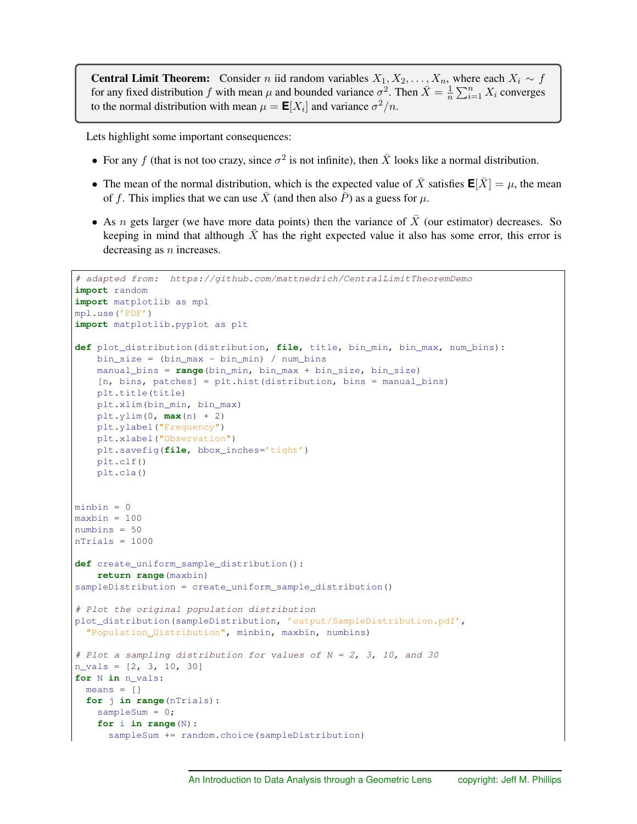**Central Limit Theorem:** Consider *n* iid random variables  $X_1, X_2, \ldots, X_n$ , where each  $X_i \sim f$ for any fixed distribution *f* with mean  $\mu$  and bounded variance  $\sigma^2$ . Then  $\bar{X} = \frac{1}{n} \sum_{i=1}^n X_i$  converges to the normal distribution with mean  $\mu = \mathbf{E}[X_i]$  and variance  $\sigma^2/n$ .

Lets highlight some important consequences:

- For any *f* (that is not too crazy, since  $\sigma^2$  is not infinite), then  $\bar{X}$  looks like a normal distribution.
- The mean of the normal distribution, which is the expected value of  $\bar{X}$  satisfies  $\mathbf{E}[\bar{X}] = \mu$ , the mean of *f*. This implies that we can use *X* (and then also *P*) as a guess for  $\mu$ .
- As *n* gets larger (we have more data points) then the variance of *X* (our estimator) decreases. So keeping in mind that although  $X$  has the right expected value it also has some error, this error is decreasing as *n* increases.

```
# adapted from: https://github.com/mattnedrich/CentralLimitTheoremDemo
import random
import matplotlib as mpl
mpl.use('PDF')
import matplotlib.pyplot as plt
def plot_distribution(distribution, file, title, bin_min, bin_max, num_bins):
    bin_size = (bin_max - bin_min) / num_bins
    manual_bins = range(bin_min, bin_max + bin_size, bin_size)
    [n, \text{bins}, \text{ patches}] = \text{plt} \cdot \text{hist}(\text{distribution}, \text{bins} = \text{manual} \cdot \text{bins})plt.title(title)
   plt.xlim(bin_min, bin_max)
   plt.ylim(0, max(n) + 2)
   plt.ylabel("Frequency")
    plt.xlabel("Observation")
    plt.savefig(file, bbox_inches='tight')
    plt.clf()
    plt.cla()
minbin = 0maxbin = 100numbins = 50
nTrials = 1000
def create_uniform_sample_distribution():
    return range(maxbin)
sampleDistribution = create_uniform_sample_distribution()
# Plot the original population distribution
plot_distribution(sampleDistribution, 'output/SampleDistribution.pdf',
  "Population Distribution", minbin, maxbin, numbins)
# Plot a sampling distribution for values of N = 2, 3, 10, and 30
n_vals = [2, 3, 10, 30]
for N in n_vals:
 means = []for j in range(nTrials):
    sampleSum = 0;
    for i in range(N):
      sampleSum += random.choice(sampleDistribution)
```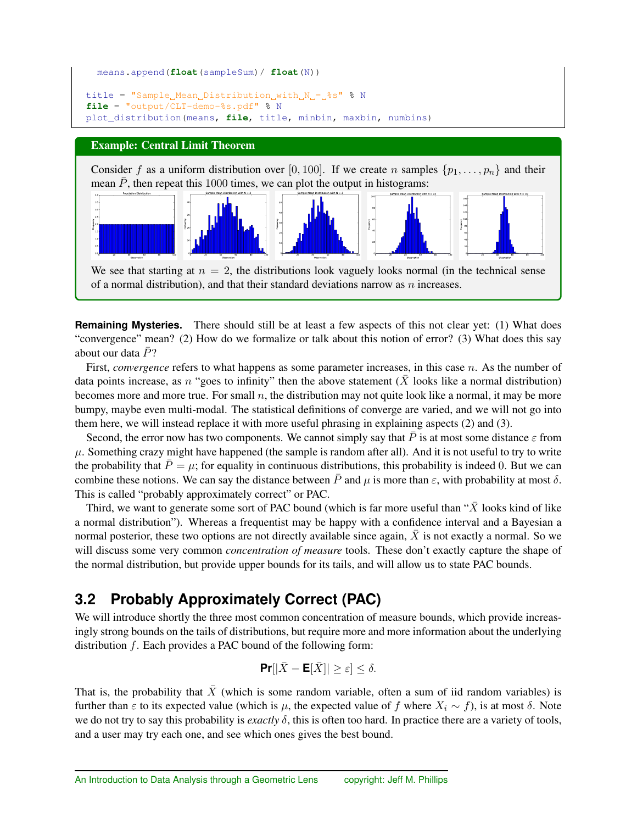```
means.append(float(sampleSum)/ float(N))
title = "Sample Mean Distribution with N = %S^* \ N
file = "output/CLT-demo-8s.pdf" % N
plot_distribution(means, file, title, minbin, maxbin, numbins)
```
### Example: Central Limit Theorem

Consider f as a uniform distribution over [0, 100]. If we create *n* samples  $\{p_1, \ldots, p_n\}$  and their mean  $\bar{P}$ , then repeat this 1000 times, we can plot the output in histograms:



**Remaining Mysteries.** There should still be at least a few aspects of this not clear yet: (1) What does "convergence" mean? (2) How do we formalize or talk about this notion of error? (3) What does this say about our data  $\bar{P}$ ?

First, *convergence* refers to what happens as some parameter increases, in this case *n*. As the number of data points increase, as *n* "goes to infinity" then the above statement  $(X)$  looks like a normal distribution) becomes more and more true. For small *n*, the distribution may not quite look like a normal, it may be more bumpy, maybe even multi-modal. The statistical definitions of converge are varied, and we will not go into them here, we will instead replace it with more useful phrasing in explaining aspects (2) and (3).

Second, the error now has two components. We cannot simply say that  $\bar{P}$  is at most some distance  $\varepsilon$  from  $\mu$ . Something crazy might have happened (the sample is random after all). And it is not useful to try to write the probability that  $\bar{P} = \mu$ ; for equality in continuous distributions, this probability is indeed 0. But we can combine these notions. We can say the distance between  $\bar{P}$  and  $\mu$  is more than  $\epsilon$ , with probability at most  $\delta$ . This is called "probably approximately correct" or PAC.

Third, we want to generate some sort of PAC bound (which is far more useful than "*X*¯ looks kind of like a normal distribution"). Whereas a frequentist may be happy with a confidence interval and a Bayesian a normal posterior, these two options are not directly available since again,  $\bar{X}$  is not exactly a normal. So we will discuss some very common *concentration of measure* tools. These don't exactly capture the shape of the normal distribution, but provide upper bounds for its tails, and will allow us to state PAC bounds.

## **3.2 Probably Approximately Correct (PAC)**

We will introduce shortly the three most common concentration of measure bounds, which provide increasingly strong bounds on the tails of distributions, but require more and more information about the underlying distribution *f*. Each provides a PAC bound of the following form:

$$
\Pr[|\bar{X} - \mathsf{E}[\bar{X}]| \ge \varepsilon] \le \delta.
$$

That is, the probability that  $\bar{X}$  (which is some random variable, often a sum of iid random variables) is further than  $\varepsilon$  to its expected value (which is  $\mu$ , the expected value of f where  $X_i \sim f$ ), is at most  $\delta$ . Note we do not try to say this probability is *exactly*  $\delta$ , this is often too hard. In practice there are a variety of tools, and a user may try each one, and see which ones gives the best bound.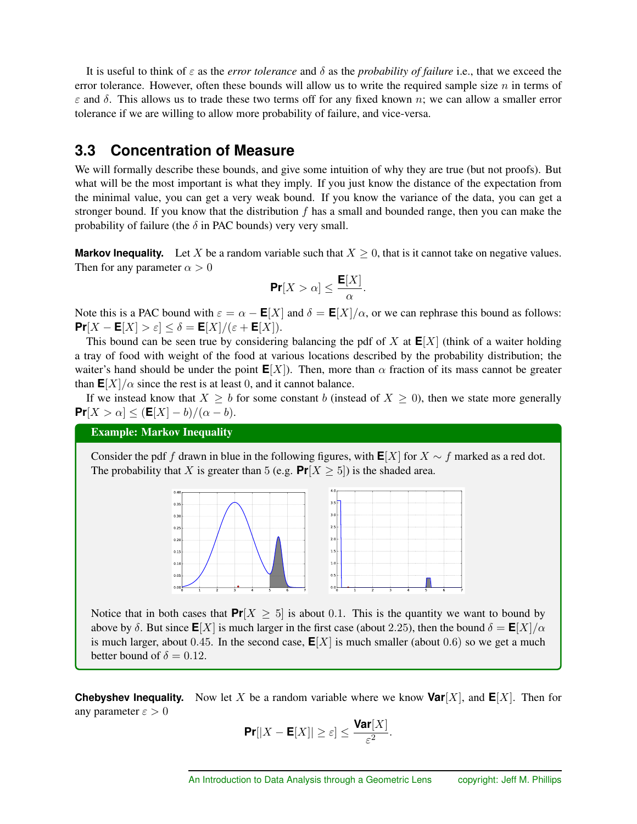It is useful to think of  $\varepsilon$  as the *error tolerance* and  $\delta$  as the *probability of failure* i.e., that we exceed the error tolerance. However, often these bounds will allow us to write the required sample size *n* in terms of  $\varepsilon$  and  $\delta$ . This allows us to trade these two terms off for any fixed known *n*; we can allow a smaller error tolerance if we are willing to allow more probability of failure, and vice-versa.

### **3.3 Concentration of Measure**

We will formally describe these bounds, and give some intuition of why they are true (but not proofs). But what will be the most important is what they imply. If you just know the distance of the expectation from the minimal value, you can get a very weak bound. If you know the variance of the data, you can get a stronger bound. If you know that the distribution *f* has a small and bounded range, then you can make the probability of failure (the  $\delta$  in PAC bounds) very very small.

**Markov Inequality.** Let X be a random variable such that  $X \geq 0$ , that is it cannot take on negative values. Then for any parameter  $\alpha > 0$ 

$$
\Pr[X > \alpha] \le \frac{\mathsf{E}[X]}{\alpha}.
$$

Note this is a PAC bound with  $\varepsilon = \alpha - \mathbf{E}[X]$  and  $\delta = \mathbf{E}[X]/\alpha$ , or we can rephrase this bound as follows:  $Pr[X - E[X] > \varepsilon] \le \delta = E[X]/(\varepsilon + E[X]).$ 

This bound can be seen true by considering balancing the pdf of  $X$  at  $E[X]$  (think of a waiter holding a tray of food with weight of the food at various locations described by the probability distribution; the waiter's hand should be under the point  $E[X]$ ). Then, more than  $\alpha$  fraction of its mass cannot be greater than  $\mathbf{E}[X]/\alpha$  since the rest is at least 0, and it cannot balance.

If we instead know that  $X \geq b$  for some constant *b* (instead of  $X \geq 0$ ), then we state more generally  $Pr[X > \alpha] \leq (E[X] - b)/(\alpha - b).$ 

### Example: Markov Inequality

Consider the pdf *f* drawn in blue in the following figures, with  $E[X]$  for  $X \sim f$  marked as a red dot. The probability that *X* is greater than 5 (e.g.  $Pr[X \ge 5]$ ) is the shaded area.



Notice that in both cases that  $Pr[X \ge 5]$  is about 0.1. This is the quantity we want to bound by above by  $\delta$ . But since  $\mathbf{E}[X]$  is much larger in the first case (about 2.25), then the bound  $\delta = \mathbf{E}[X]/\alpha$ is much larger, about 0.45. In the second case,  $E[X]$  is much smaller (about 0.6) so we get a much better bound of  $\delta = 0.12$ .

**Chebyshev Inequality.** Now let *X* be a random variable where we know  $Var[X]$ , and  $E[X]$ . Then for any parameter  $\varepsilon > 0$ 

$$
\Pr[|X - \mathsf{E}[X]| \ge \varepsilon] \le \frac{\textsf{Var}[X]}{\varepsilon^2}.
$$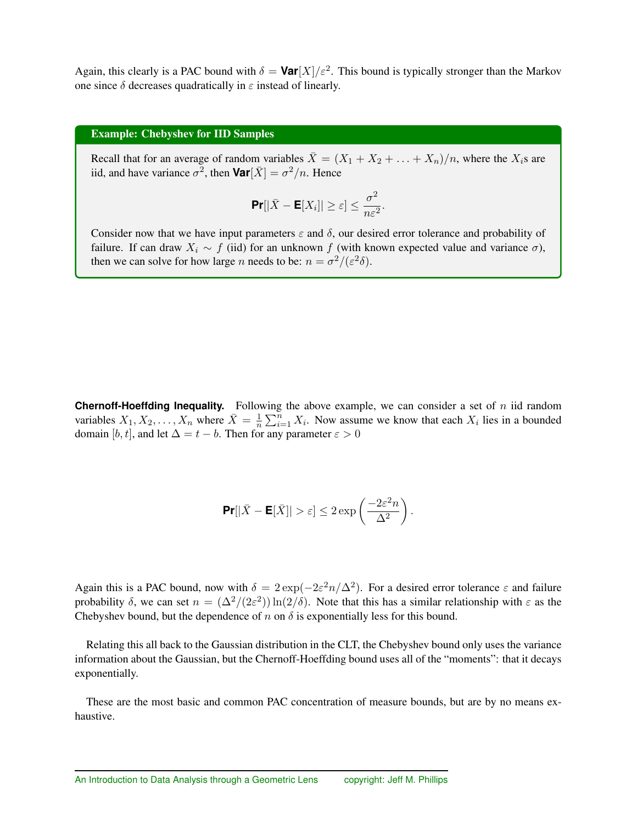Again, this clearly is a PAC bound with  $\delta = \text{Var}[X]/\varepsilon^2$ . This bound is typically stronger than the Markov one since  $\delta$  decreases quadratically in  $\varepsilon$  instead of linearly.

#### Example: Chebyshev for IID Samples

Recall that for an average of random variables  $\bar{X} = (X_1 + X_2 + \ldots + X_n)/n$ , where the  $X_i$ s are iid, and have variance  $\sigma^2$ , then **Var**[ $\bar{X}$ ] =  $\sigma^2/n$ . Hence

$$
\Pr[|\bar{X} - \mathsf{E}[X_i]| \geq \varepsilon] \leq \frac{\sigma^2}{n\varepsilon^2}.
$$

Consider now that we have input parameters  $\varepsilon$  and  $\delta$ , our desired error tolerance and probability of failure. If can draw  $X_i \sim f$  (iid) for an unknown f (with known expected value and variance  $\sigma$ ), then we can solve for how large *n* needs to be:  $n = \frac{\sigma^2}{(\varepsilon^2 \delta)}$ .

**Chernoff-Hoeffding Inequality.** Following the above example, we can consider a set of *n* iid random variables  $X_1, X_2, \ldots, X_n$  where  $\bar{X} = \frac{1}{n} \sum_{i=1}^n X_i$ . Now assume we know that each  $X_i$  lies in a bounded domain [b, t], and let  $\Delta = t - b$ . Then for any parameter  $\varepsilon > 0$ 

$$
\Pr[|\bar{X} - \mathsf{E}[\bar{X}]| > \varepsilon] \le 2 \exp\left(\frac{-2\varepsilon^2 n}{\Delta^2}\right).
$$

Again this is a PAC bound, now with  $\delta = 2 \exp(-2\varepsilon^2 n/\Delta^2)$ . For a desired error tolerance  $\varepsilon$  and failure probability  $\delta$ , we can set  $n = (\Delta^2/(2\varepsilon^2)) \ln(2/\delta)$ . Note that this has a similar relationship with  $\varepsilon$  as the Chebyshev bound, but the dependence of  $n$  on  $\delta$  is exponentially less for this bound.

Relating this all back to the Gaussian distribution in the CLT, the Chebyshev bound only uses the variance information about the Gaussian, but the Chernoff-Hoeffding bound uses all of the "moments": that it decays exponentially.

These are the most basic and common PAC concentration of measure bounds, but are by no means exhaustive.